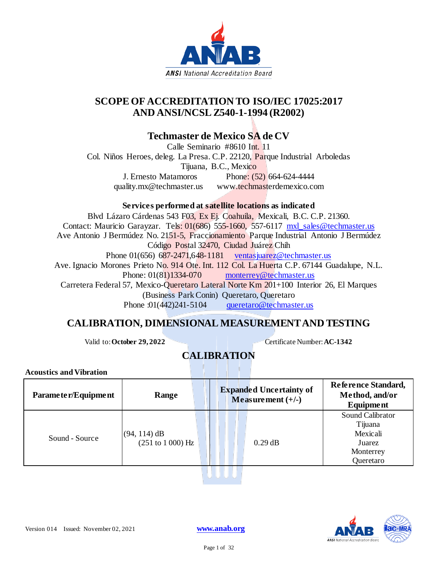

## **SCOPE OF ACCREDITATION TO ISO/IEC 17025:2017 AND ANSI/NCSL Z540-1-1994 (R2002)**

### **Techmaster de Mexico SA de CV**

Calle Seminario #8610 Int. 11 Col. Niños Heroes, deleg. La Presa. C.P. 22120, Parque Industrial Arboledas Tijuana, B.C., Mexico J. Ernesto Matamoros Phone: (52) 664-624-4444 quality.mx@techmaster.us www.techmasterdemexico.com

### **Services performed at satellite locations as indicated**

Blvd Lázaro Cárdenas 543 F03, Ex Ej. Coahuila, Mexicali, B.C. C.P. 21360. Contact: Mauricio Garayzar. Tels: 01(686) 555-1660, 557-6117 [mxl\\_sales@techmaster.us](mailto:mxl_sales@techmaster.us) Ave Antonio J Bermúdez No. 2151-5, Fraccionamiento Parque Industrial Antonio J Bermúdez Código Postal 32470, Ciudad Juárez Chih Phone  $01(656)$  687-2471,648-1181 [ventasjuarez@techmaster.us](mailto:ventasjuarez@techmaster.us) Ave. Ignacio Morones Prieto No. 914 Ote. Int. 112 Col. La Huerta C.P. 67144 Guadalupe, N.L. Phone:  $01(81)1334-070$  [monterrey@techmaster.us](mailto:monterrey@techmaster.us) Carretera Federal 57, Mexico-Queretaro Lateral Norte Km 201+100 Interior 26, El Marques (Business Park Conin) Queretaro, Queretaro Phone :01(442)241-5104 [queretaro@techmaster.us](mailto:queretaro@techmaster.us)

### **CALIBRATION, DIMENSIONAL MEASUREMENT AND TESTING**

Valid to: **October 29, 2022** Certificate Number: **AC-1342** 

# **CALIBRATION**

**Acoustics and Vibration**

| Parameter/Equipment | Range                              | <b>Expanded Uncertainty of</b><br>Measurement $(+/-)$ | Reference Standard,<br>Method, and/or<br>Equipment                          |
|---------------------|------------------------------------|-------------------------------------------------------|-----------------------------------------------------------------------------|
| Sound - Source      | $(94, 114)$ dB<br>(251 to 1000) Hz | $0.29$ dB                                             | Sound Calibrator<br>Tijuana<br>Mexicali<br>Juarez<br>Monterrey<br>Queretaro |